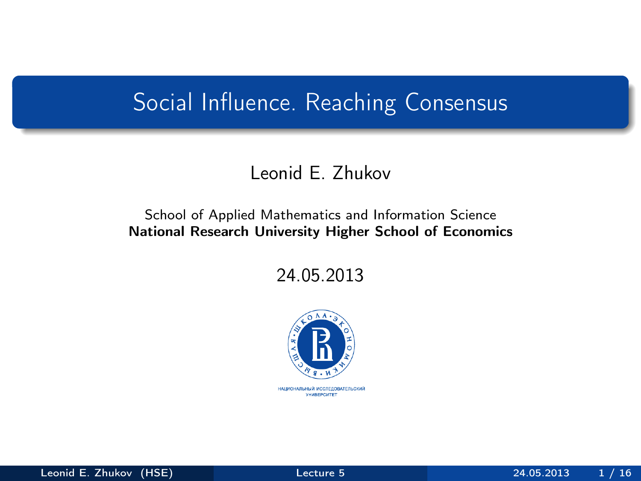### Social Influence. Reaching Consensus

### Leonid E. Zhukov

#### School of Applied Mathematics and Information Science National Research University Higher School of Economics

24.05.2013

<span id="page-0-0"></span>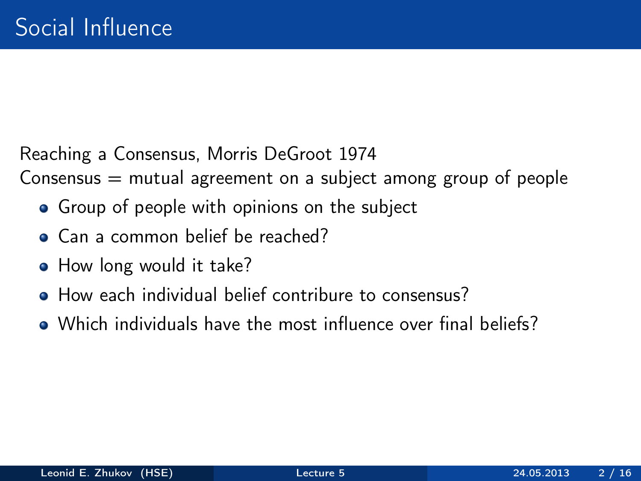Reaching a Consensus, Morris DeGroot 1974

Consensus  $=$  mutual agreement on a subject among group of people

- Group of people with opinions on the subject
- Can a common belief be reached?
- How long would it take?
- How each individual belief contribure to consensus?
- Which individuals have the most influence over final beliefs?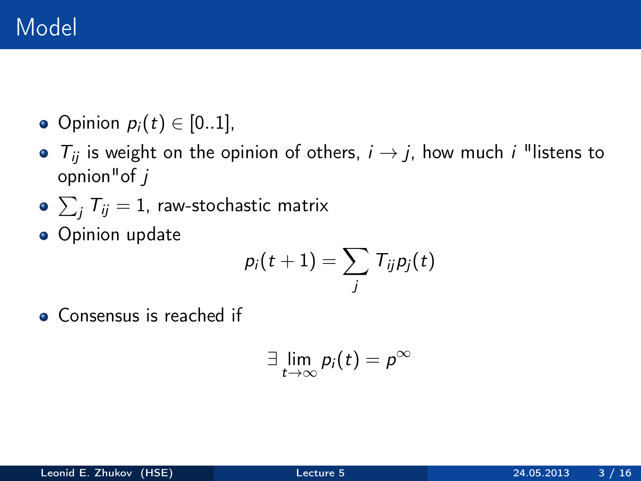- Opinion  $p_i(t) \in [0..1]$ ,
- $T_{ij}$  is weight on the opinion of others,  $i \rightarrow j$ , how much i "listens to opnion"of j
- $\sum_j \mathcal{T}_{ij} = 1$ , raw-stochastic matrix
- **•** Opinion update

$$
\rho_i(t+1) = \sum_j \, T_{ij} \rho_j(t)
$$

• Consensus is reached if

$$
\exists \lim_{t\to\infty} p_i(t) = p^{\infty}
$$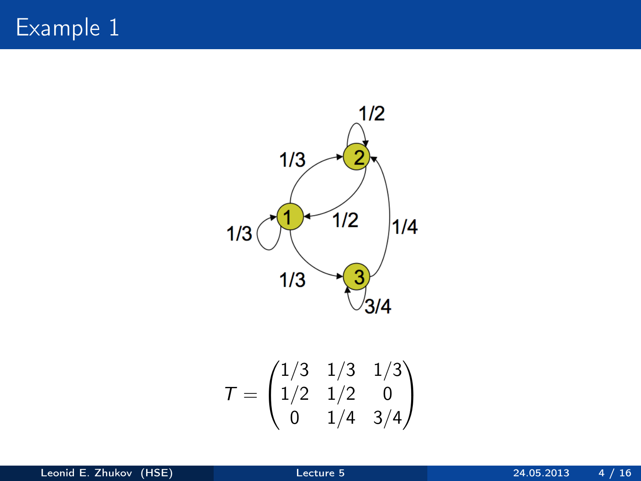Example 1



$$
\mathcal{T} = \begin{pmatrix} 1/3 & 1/3 & 1/3 \\ 1/2 & 1/2 & 0 \\ 0 & 1/4 & 3/4 \end{pmatrix}
$$

Leonid E. Zhukov (HSE) [Lecture 5](#page-0-0) 24.05.2013 4 / 16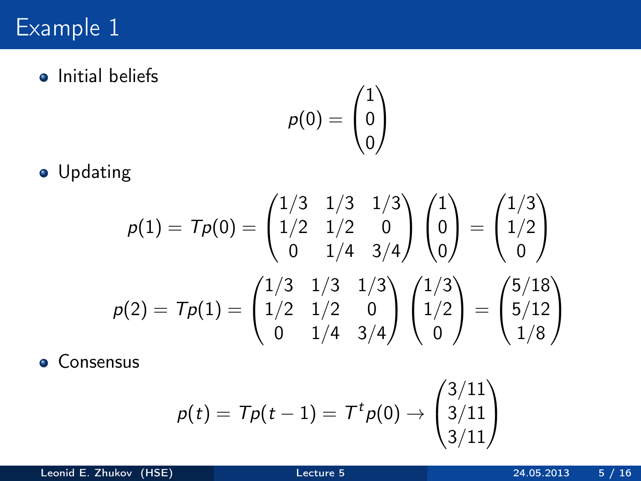# Example 1

**o** Initial beliefs

$$
p(0) = \begin{pmatrix} 1 \\ 0 \\ 0 \end{pmatrix}
$$

**•** Updating

$$
p(1) = Tp(0) = \begin{pmatrix} 1/3 & 1/3 & 1/3 \\ 1/2 & 1/2 & 0 \\ 0 & 1/4 & 3/4 \end{pmatrix} \begin{pmatrix} 1 \\ 0 \\ 0 \end{pmatrix} = \begin{pmatrix} 1/3 \\ 1/2 \\ 0 \end{pmatrix}
$$

$$
p(2) = Tp(1) = \begin{pmatrix} 1/3 & 1/3 & 1/3 \\ 1/2 & 1/2 & 0 \\ 0 & 1/4 & 3/4 \end{pmatrix} \begin{pmatrix} 1/3 \\ 1/2 \\ 0 \end{pmatrix} = \begin{pmatrix} 5/18 \\ 5/12 \\ 1/8 \end{pmatrix}
$$

**•** Consensus

$$
p(t) = Tp(t-1) = Ttp(0) \rightarrow \begin{pmatrix} 3/11 \\ 3/11 \\ 3/11 \end{pmatrix}
$$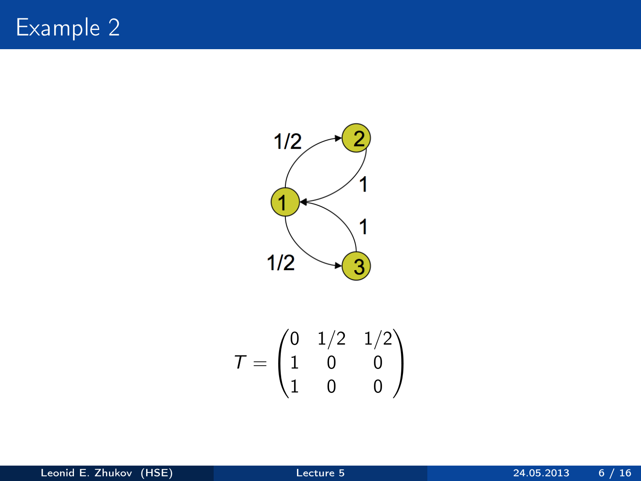

$$
\mathcal{T} = \begin{pmatrix} 0 & 1/2 & 1/2 \\ 1 & 0 & 0 \\ 1 & 0 & 0 \end{pmatrix}
$$

Leonid E. Zhukov (HSE) [Lecture 5](#page-0-0) 24.05.2013 6 / 16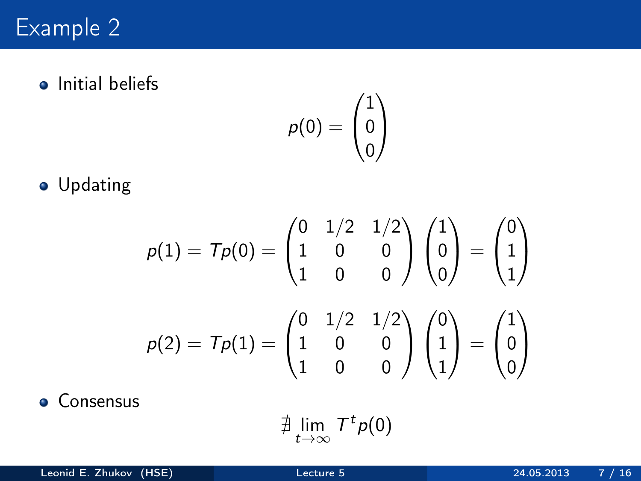### Example 2

**•** Initial beliefs

$$
\rho(0)=\begin{pmatrix}1\\0\\0\end{pmatrix}
$$

**•** Updating

$$
p(1) = Tp(0) = \begin{pmatrix} 0 & 1/2 & 1/2 \\ 1 & 0 & 0 \\ 1 & 0 & 0 \end{pmatrix} \begin{pmatrix} 1 \\ 0 \\ 0 \end{pmatrix} = \begin{pmatrix} 0 \\ 1 \\ 1 \end{pmatrix}
$$

$$
p(2) = Tp(1) = \begin{pmatrix} 0 & 1/2 & 1/2 \\ 1 & 0 & 0 \\ 1 & 0 & 0 \end{pmatrix} \begin{pmatrix} 0 \\ 1 \\ 1 \end{pmatrix} = \begin{pmatrix} 1 \\ 0 \\ 0 \end{pmatrix}
$$

**•** Consensus

$$
\nexists \lim_{t\to\infty} T^t \rho(0)
$$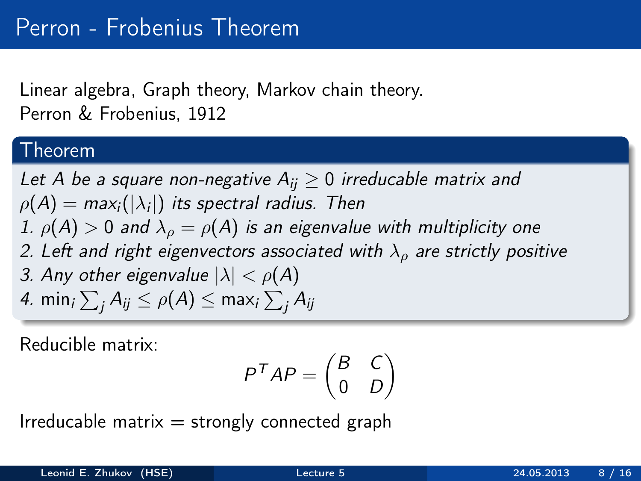### Linear algebra, Graph theory, Markov chain theory. Perron & Frobenius, 1912

### Theorem

Let A be a square non-negative  $A_{ii} \geq 0$  irreducable matrix and  $\rho(A) =$  max $_i(|\lambda_i|)$  its spectral radius. Then 1.  $\rho(A) > 0$  and  $\lambda_0 = \rho(A)$  is an eigenvalue with multiplicity one 2. Left and right eigenvectors associated with  $\lambda_0$  are strictly positive 3. Any other eigenvalue  $|\lambda| < \rho(A)$ 4. min $_{i}\sum_{j}A_{ij}\leq\rho(A)\leq$  max $_{i}\sum_{j}A_{ij}$ 

Reducible matrix:

$$
P^T A P = \begin{pmatrix} B & C \\ 0 & D \end{pmatrix}
$$

Irreducable matrix  $=$  strongly connected graph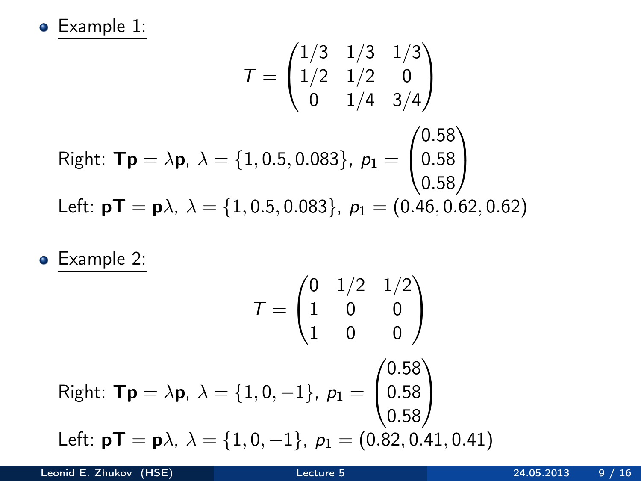Example 1:

$$
\mathbf{T} = \begin{pmatrix} 1/3 & 1/3 & 1/3 \\ 1/2 & 1/2 & 0 \\ 0 & 1/4 & 3/4 \end{pmatrix}
$$
  
Right:  $\mathbf{Tp} = \lambda \mathbf{p}$ ,  $\lambda = \{1, 0.5, 0.083\}$ ,  $p_1 = \begin{pmatrix} 0.58 \\ 0.58 \\ 0.58 \end{pmatrix}$   
Left:  $\mathbf{pT} = \mathbf{p}\lambda$ ,  $\lambda = \{1, 0.5, 0.083\}$ ,  $p_1 = (0.46, 0.62, 0.62)$ 

Example 2:

$$
\mathbf{T} = \begin{pmatrix} 0 & 1/2 & 1/2 \\ 1 & 0 & 0 \\ 1 & 0 & 0 \end{pmatrix}
$$
  
Right:  $\mathbf{Tp} = \lambda \mathbf{p}, \ \lambda = \{1, 0, -1\}, \ p_1 = \begin{pmatrix} 0.58 \\ 0.58 \\ 0.58 \end{pmatrix}$   
Left:  $\mathbf{pT} = \mathbf{p}\lambda, \ \lambda = \{1, 0, -1\}, \ p_1 = (0.82, 0.41, 0.41)$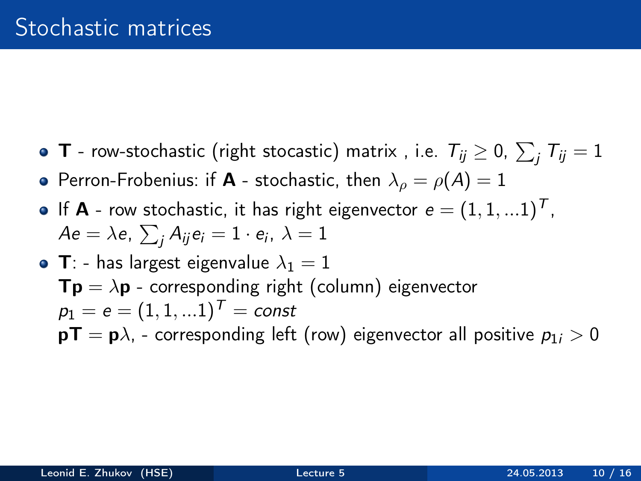- **T** row-stochastic (right stocastic) matrix , i.e.  $T_{ij} \geq 0, \, \sum_j T_{ij} = 1$
- Perron-Frobenius: if **A** stochastic, then  $\lambda_o = \rho(A) = 1$
- If **A** row stochastic, it has right eigenvector  $e = (1, 1, ...1)^T$ ,  $A$ e $=\lambda$ e,  $\sum_{j}A_{ij}$ e $_{i}=1\cdot$  e $_{i}$ ,  $\lambda=1$
- T: has largest eigenvalue  $\lambda_1 = 1$  $Tp = \lambda p$  - corresponding right (column) eigenvector  $p_1 = e = (1, 1, ... 1)^T = const$  $pT = p\lambda$ , - corresponding left (row) eigenvector all positive  $p_{1i} > 0$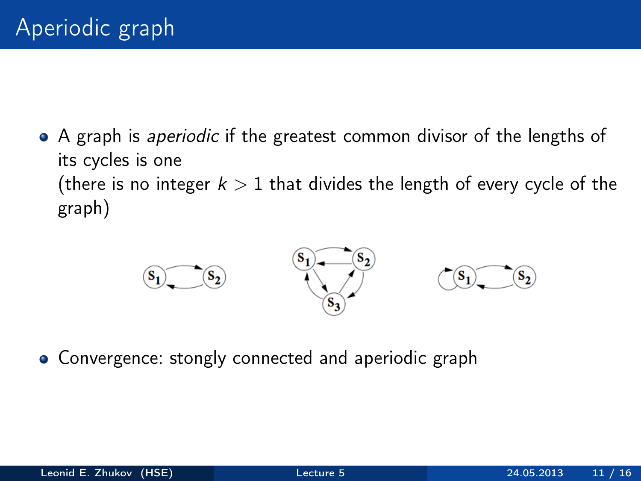• A graph is *aperiodic* if the greatest common divisor of the lengths of its cycles is one (there is no integer  $k > 1$  that divides the length of every cycle of the graph)



• Convergence: stongly connected and aperiodic graph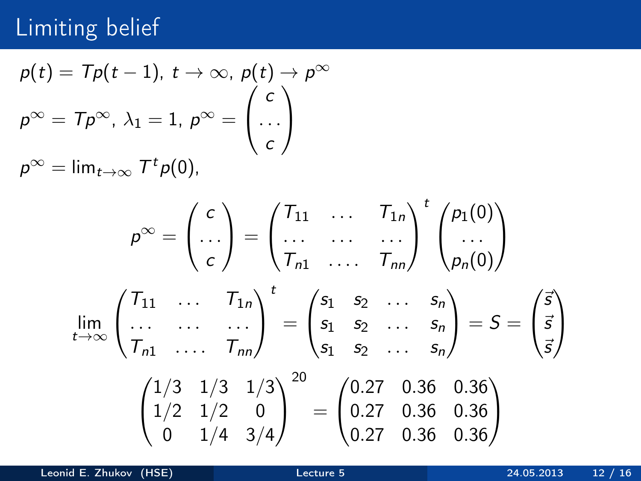# Limiting belief

$$
p(t) = Tp(t-1), t \to \infty, p(t) \to p^{\infty}
$$
  

$$
p^{\infty} = Tp^{\infty}, \lambda_1 = 1, p^{\infty} = \begin{pmatrix} c \\ \cdots \\ c \end{pmatrix}
$$
  

$$
p^{\infty} = \lim_{t \to \infty} T^t p(0),
$$

$$
\rho^{\infty} = \begin{pmatrix} c \\ \dots \\ c \end{pmatrix} = \begin{pmatrix} T_{11} & \dots & T_{1n} \\ \dots & \dots & \dots \\ T_{n1} & \dots & T_{nn} \end{pmatrix}^{t} \begin{pmatrix} p_1(0) \\ \dots \\ p_n(0) \end{pmatrix}
$$
  
\n
$$
\lim_{t \to \infty} \begin{pmatrix} T_{11} & \dots & T_{1n} \\ \dots & \dots & \dots \\ T_{n1} & \dots & T_{nn} \end{pmatrix}^{t} = \begin{pmatrix} s_1 & s_2 & \dots & s_n \\ s_1 & s_2 & \dots & s_n \\ s_1 & s_2 & \dots & s_n \end{pmatrix} = S = \begin{pmatrix} \vec{s} \\ \vec{s} \\ \vec{s} \end{pmatrix}
$$
  
\n
$$
\begin{pmatrix} 1/3 & 1/3 & 1/3 \\ 1/2 & 1/2 & 0 \\ 0 & 1/4 & 3/4 \end{pmatrix}^{20} = \begin{pmatrix} 0.27 & 0.36 & 0.36 \\ 0.27 & 0.36 & 0.36 \\ 0.27 & 0.36 & 0.36 \end{pmatrix}
$$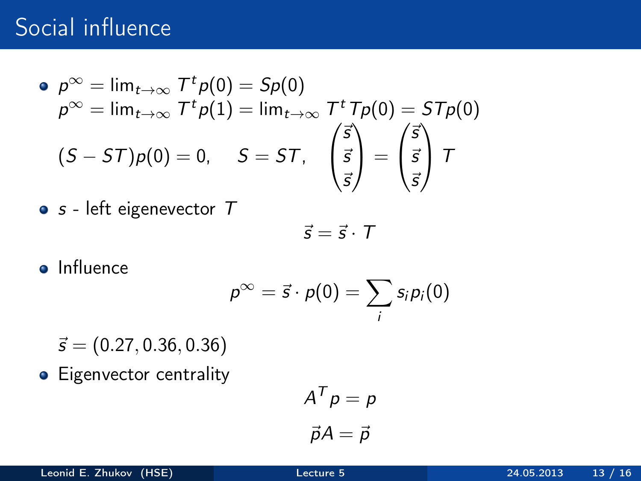## Social influence

$$
\begin{aligned}\n\bullet \ \rho^{\infty} &= \lim_{t \to \infty} \mathcal{T}^t \rho(0) = Sp(0) \\
\rho^{\infty} &= \lim_{t \to \infty} \mathcal{T}^t \rho(1) = \lim_{t \to \infty} \mathcal{T}^t \mathcal{T} \rho(0) = ST \rho(0) \\
(S - ST) \rho(0) &= 0, \quad S = ST, \quad \begin{pmatrix} \vec{s} \\ \vec{s} \\ \vec{s} \end{pmatrix} = \begin{pmatrix} \vec{s} \\ \vec{s} \\ \vec{s} \end{pmatrix} \mathcal{T}\n\end{aligned}
$$

$$
\bullet
$$
 s - left eigenvector  $T$ 

$$
\vec{s} = \vec{s} \cdot T
$$

• Influence

$$
p^{\infty}=\vec{s}\cdot p(0)=\sum_i s_i p_i(0)
$$

- $\vec{s} = (0.27, 0.36, 0.36)$
- Eigenvector centrality

$$
A^T p = p
$$

$$
\vec{p}A = \vec{p}
$$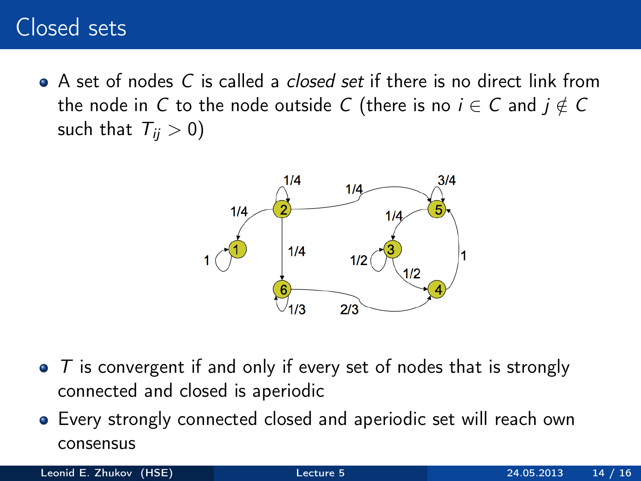### Closed sets

 $\bullet$  A set of nodes C is called a *closed set* if there is no direct link from the node in C to the node outside C (there is no  $i \in C$  and  $j \notin C$ such that  $T_{ii} > 0$ )



- $\bullet$  T is convergent if and only if every set of nodes that is strongly connected and closed is aperiodic
- Every strongly connected closed and aperiodic set will reach own consensus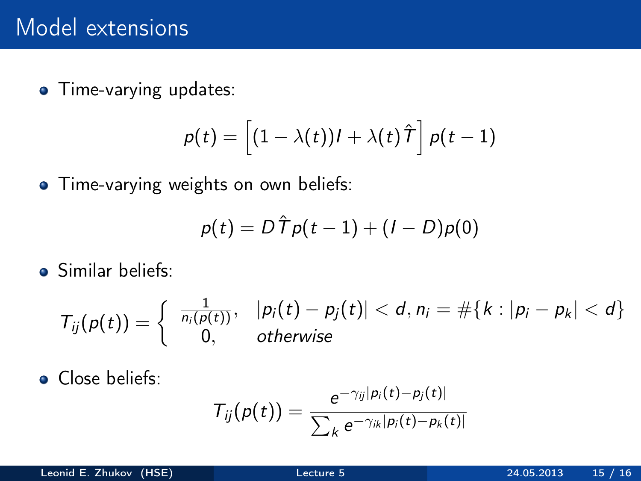• Time-varying updates:

$$
\rho(t) = \left[ (1-\lambda(t))l + \lambda(t)\,\hat{\mathcal{T}} \right]\rho(t-1)
$$

• Time-varying weights on own beliefs:

$$
p(t) = D \hat{\mathcal{T}} p(t-1) + (I - D)p(0)
$$

**Similar beliefs:** 

$$
T_{ij}(p(t)) = \left\{ \begin{array}{ll} \frac{1}{n_i(p(t))}, & |p_i(t) - p_j(t)| < d, n_i = \#\{k : |p_i - p_k| < d\} \\ 0, & \text{otherwise} \end{array} \right.
$$

**o** Close beliefs:

$$
T_{ij}(p(t)) = \frac{e^{-\gamma_{ij}|p_i(t)-p_j(t)|}}{\sum_k e^{-\gamma_{ik}|p_i(t)-p_k(t)|}}
$$